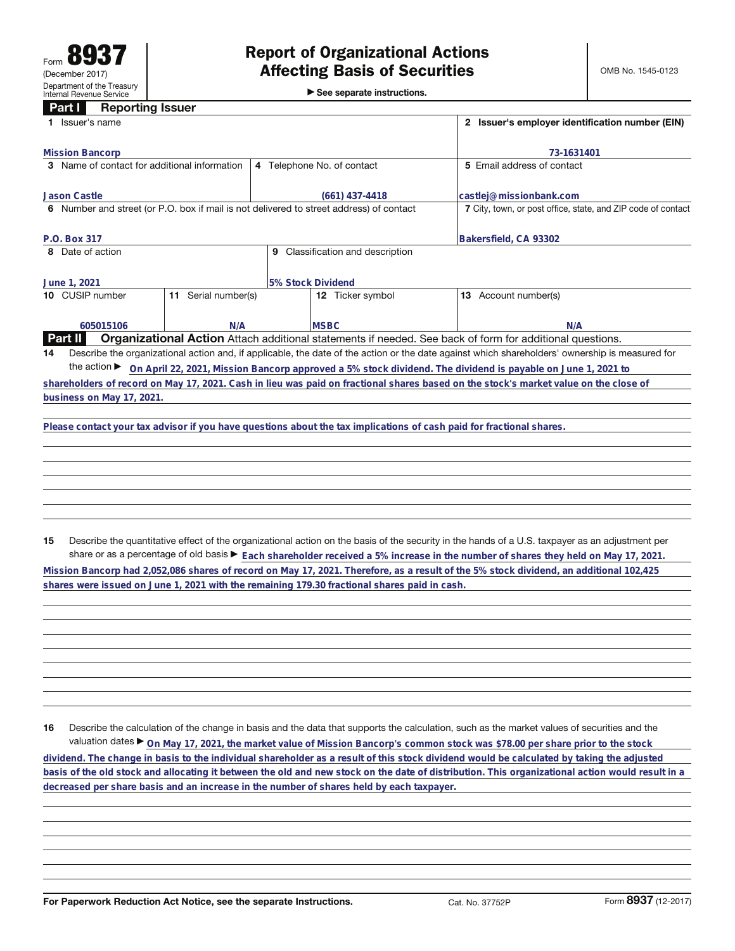| rann<br>neporuly issuer<br>Issuer's name                                                                                                              |     |                                                                                                                      | 2 Issuer's employer identification number (EIN)                                                                                      |  |  |  |  |  |
|-------------------------------------------------------------------------------------------------------------------------------------------------------|-----|----------------------------------------------------------------------------------------------------------------------|--------------------------------------------------------------------------------------------------------------------------------------|--|--|--|--|--|
| <b>Mission Bancorp</b>                                                                                                                                |     | 73-1631401                                                                                                           |                                                                                                                                      |  |  |  |  |  |
| 3 Name of contact for additional information                                                                                                          |     | 4 Telephone No. of contact                                                                                           | 5 Email address of contact                                                                                                           |  |  |  |  |  |
| <b>Jason Castle</b>                                                                                                                                   |     | $(661)$ 437-4418                                                                                                     | castlej@missionbank.com                                                                                                              |  |  |  |  |  |
| 6 Number and street (or P.O. box if mail is not delivered to street address) of contact                                                               |     | 7 City, town, or post office, state, and ZIP code of contact                                                         |                                                                                                                                      |  |  |  |  |  |
| P.O. Box 317                                                                                                                                          |     | Bakersfield, CA 93302                                                                                                |                                                                                                                                      |  |  |  |  |  |
| 8 Date of action                                                                                                                                      |     |                                                                                                                      |                                                                                                                                      |  |  |  |  |  |
| June 1, 2021                                                                                                                                          |     |                                                                                                                      |                                                                                                                                      |  |  |  |  |  |
| CUSIP number<br>Serial number(s)<br>11                                                                                                                |     | 12 Ticker symbol                                                                                                     | Account number(s)<br>13                                                                                                              |  |  |  |  |  |
| 605015106                                                                                                                                             | N/A | <b>MSBC</b>                                                                                                          | N/A                                                                                                                                  |  |  |  |  |  |
| <b>Organizational Action</b> Attach additional statements if needed. See back of form for additional questions.<br><b>Part II</b>                     |     |                                                                                                                      |                                                                                                                                      |  |  |  |  |  |
| Describe the organizational action and, if applicable, the date of the action or the date against which shareholders' ownership is measured for<br>14 |     |                                                                                                                      |                                                                                                                                      |  |  |  |  |  |
| the action $\blacktriangleright$<br>On April 22, 2021, Mission Bancorp approved a 5% stock dividend. The dividend is payable on June 1, 2021 to       |     |                                                                                                                      |                                                                                                                                      |  |  |  |  |  |
|                                                                                                                                                       |     |                                                                                                                      | shareholders of record on May 17, 2021. Cash in lieu was paid on fractional shares based on the stock's market value on the close of |  |  |  |  |  |
| business on May 17, 2021.                                                                                                                             |     |                                                                                                                      |                                                                                                                                      |  |  |  |  |  |
|                                                                                                                                                       |     |                                                                                                                      |                                                                                                                                      |  |  |  |  |  |
|                                                                                                                                                       |     | Please contact your tax advisor if you have questions about the tax implications of cash paid for fractional shares. |                                                                                                                                      |  |  |  |  |  |
|                                                                                                                                                       |     |                                                                                                                      |                                                                                                                                      |  |  |  |  |  |
|                                                                                                                                                       |     |                                                                                                                      |                                                                                                                                      |  |  |  |  |  |
|                                                                                                                                                       |     |                                                                                                                      |                                                                                                                                      |  |  |  |  |  |

**15** Describe the quantitative effect of the organizational action on the basis of the security in the hands of a U.S. taxpayer as an adjustment per share or as a percentage of old basis  $\blacktriangleright$  Each shareholder received a 5% increase in the number of shares they held on May 17, 2021. Mission Bancorp had 2,052,086 shares of record on May 17, 2021. Therefore, as a result of the 5% stock dividend, an additional 102,425

**shares were issued on June 1, 2021 with the remaining 179.30 fractional shares paid in cash.**

**16** Describe the calculation of the change in basis and the data that supports the calculation, such as the market values of securities and the valuation dates ▶ On May 17, 2021, the market value of Mission Bancorp's common stock was \$78.00 per share prior to the stock dividend. The change in basis to the individual shareholder as a result of this stock dividend would be calculated by taking the adjusted basis of the old stock and allocating it between the old and new stock on the date of distribution. This organizational action would result in a **decreased per share basis and an increase in the number of shares held by each taxpayer.**